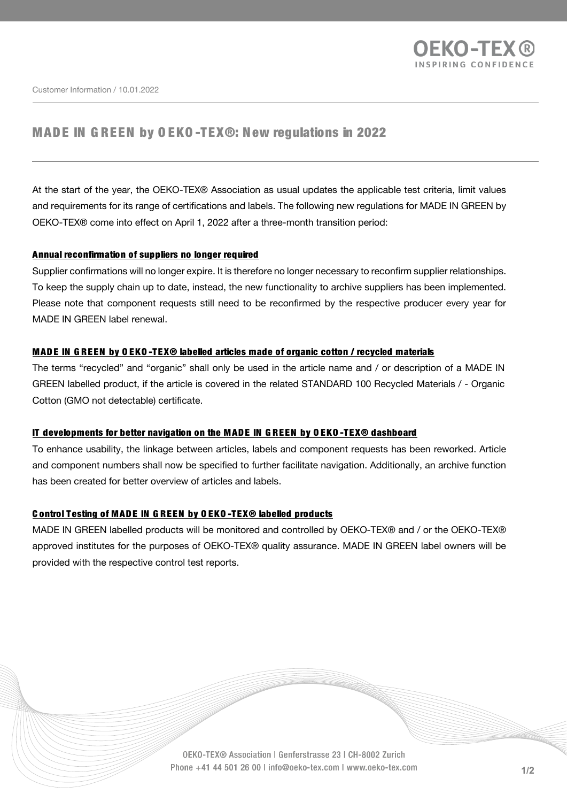

Customer Information / 10.01.2022

# MADE IN GREEN by OEKO-TEX®: New regulations in 2022

At the start of the year, the OEKO-TEX® Association as usual updates the applicable test criteria, limit values and requirements for its range of certifications and labels. The following new regulations for MADE IN GREEN by OEKO-TEX® come into effect on April 1, 2022 after a three-month transition period:

#### Annual reconfirmation of suppliers no longer required

Supplier confirmations will no longer expire. It is therefore no longer necessary to reconfirm supplier relationships. To keep the supply chain up to date, instead, the new functionality to archive suppliers has been implemented. Please note that component requests still need to be reconfirmed by the respective producer every year for MADE IN GREEN label renewal.

### MADE IN GREEN by OEKO-TEX® labelled articles made of organic cotton / recycled materials

The terms "recycled" and "organic" shall only be used in the article name and / or description of a MADE IN GREEN labelled product, if the article is covered in the related STANDARD 100 Recycled Materials / - Organic Cotton (GMO not detectable) certificate.

#### IT developments for better navigation on the MADE IN GREEN by OEKO-TEX® dashboard

To enhance usability, the linkage between articles, labels and component requests has been reworked. Article and component numbers shall now be specified to further facilitate navigation. Additionally, an archive function has been created for better overview of articles and labels.

### C ontrol Testing of MADE IN GREEN by OEKO-TEX® labelled products

MADE IN GREEN labelled products will be monitored and controlled by OEKO-TEX® and / or the OEKO-TEX® approved institutes for the purposes of OEKO-TEX® quality assurance. MADE IN GREEN label owners will be provided with the respective control test reports.

> OEKO-TEX® Association | Genferstrasse 23 | CH-8002 Zurich Phone +41 44 501 26 00 | info@oeko-tex.com | www.oeko-tex.com